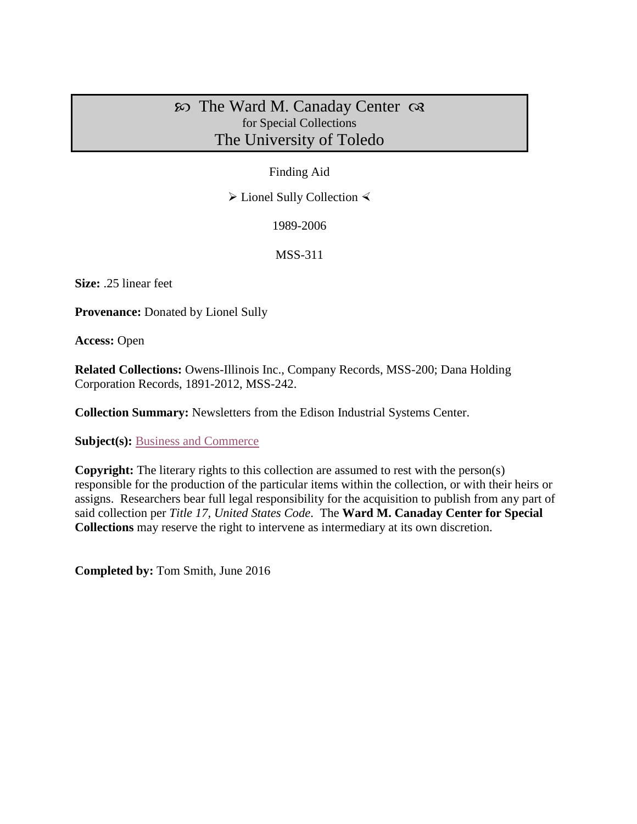# $\infty$  The Ward M. Canaday Center  $\infty$ for Special Collections The University of Toledo

## Finding Aid

 $\triangleright$  Lionel Sully Collection  $\triangleleft$ 

1989-2006

MSS-311

**Size:** .25 linear feet

**Provenance:** Donated by Lionel Sully

**Access:** Open

**Related Collections:** Owens-Illinois Inc., Company Records, MSS-200; Dana Holding Corporation Records, 1891-2012, MSS-242.

**Collection Summary:** Newsletters from the Edison Industrial Systems Center.

**Subject(s):** [Business and Commerce](http://www.utoledo.edu/library/canaday/guidepages/business.html)

**Copyright:** The literary rights to this collection are assumed to rest with the person(s) responsible for the production of the particular items within the collection, or with their heirs or assigns. Researchers bear full legal responsibility for the acquisition to publish from any part of said collection per *Title 17, United States Code*. The **Ward M. Canaday Center for Special Collections** may reserve the right to intervene as intermediary at its own discretion.

**Completed by:** Tom Smith, June 2016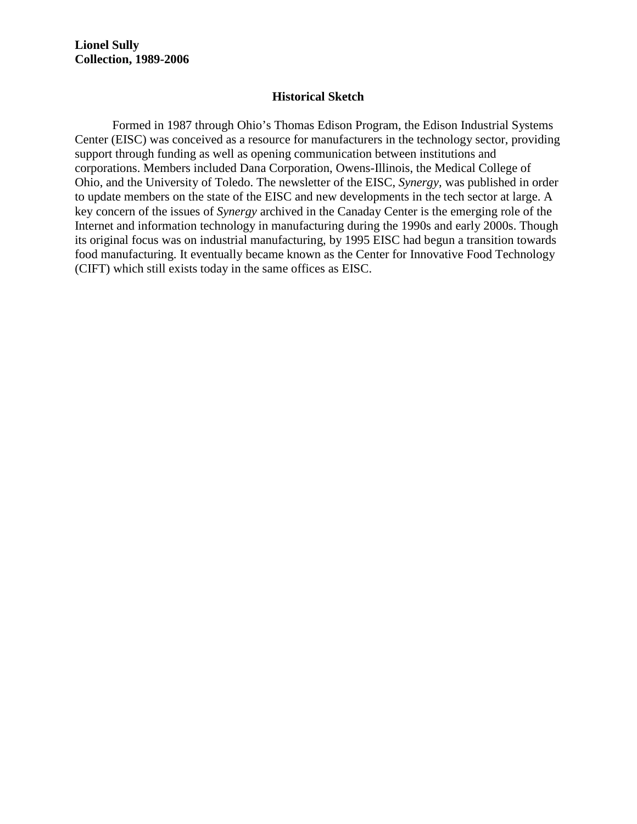#### **Historical Sketch**

Formed in 1987 through Ohio's Thomas Edison Program, the Edison Industrial Systems Center (EISC) was conceived as a resource for manufacturers in the technology sector, providing support through funding as well as opening communication between institutions and corporations. Members included Dana Corporation, Owens-Illinois, the Medical College of Ohio, and the University of Toledo. The newsletter of the EISC, *Synergy,* was published in order to update members on the state of the EISC and new developments in the tech sector at large. A key concern of the issues of *Synergy* archived in the Canaday Center is the emerging role of the Internet and information technology in manufacturing during the 1990s and early 2000s. Though its original focus was on industrial manufacturing, by 1995 EISC had begun a transition towards food manufacturing. It eventually became known as the Center for Innovative Food Technology (CIFT) which still exists today in the same offices as EISC.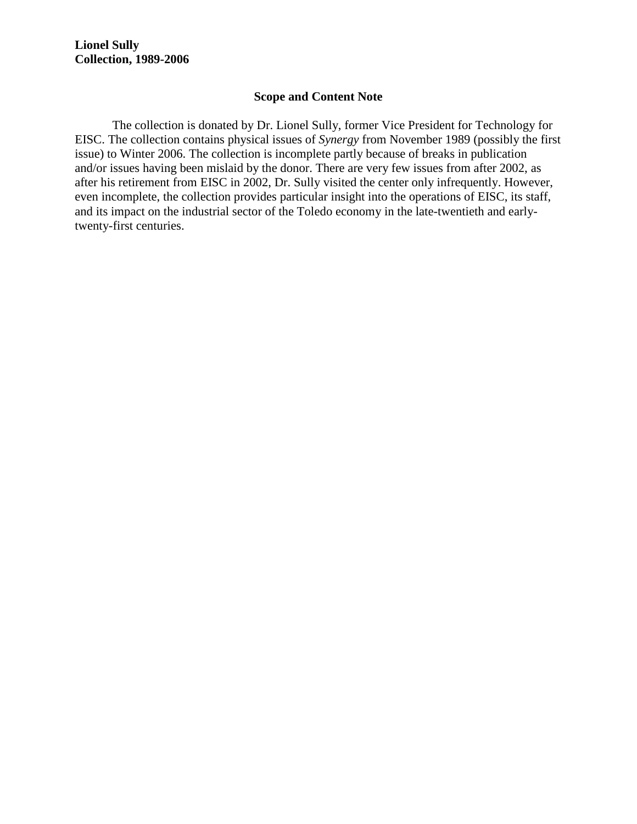#### **Scope and Content Note**

The collection is donated by Dr. Lionel Sully, former Vice President for Technology for EISC. The collection contains physical issues of *Synergy* from November 1989 (possibly the first issue) to Winter 2006. The collection is incomplete partly because of breaks in publication and/or issues having been mislaid by the donor. There are very few issues from after 2002, as after his retirement from EISC in 2002, Dr. Sully visited the center only infrequently. However, even incomplete, the collection provides particular insight into the operations of EISC, its staff, and its impact on the industrial sector of the Toledo economy in the late-twentieth and earlytwenty-first centuries.